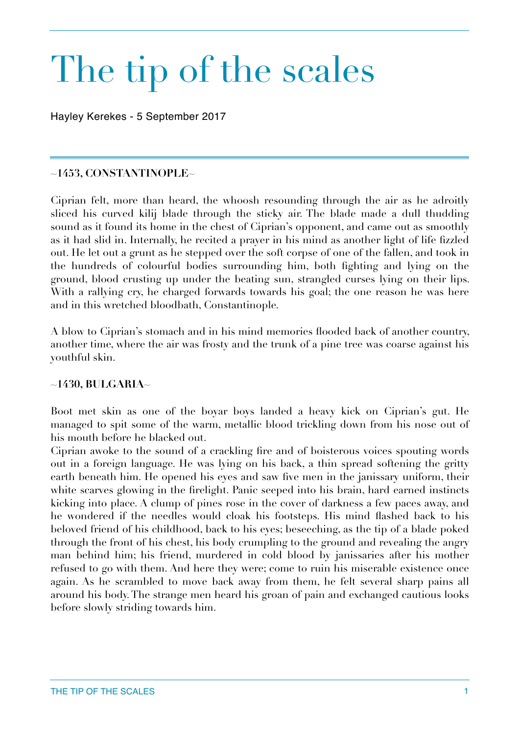# The tip of the scales

Hayley Kerekes - 5 September 2017

## **~1453, CONSTANTINOPLE~**

Ciprian felt, more than heard, the whoosh resounding through the air as he adroitly sliced his curved kilij blade through the sticky air. The blade made a dull thudding sound as it found its home in the chest of Ciprian's opponent, and came out as smoothly as it had slid in. Internally, he recited a prayer in his mind as another light of life fizzled out. He let out a grunt as he stepped over the soft corpse of one of the fallen, and took in the hundreds of colourful bodies surrounding him, both fighting and lying on the ground, blood crusting up under the beating sun, strangled curses lying on their lips. With a rallying cry, he charged forwards towards his goal; the one reason he was here and in this wretched bloodbath, Constantinople.

A blow to Ciprian's stomach and in his mind memories flooded back of another country, another time, where the air was frosty and the trunk of a pine tree was coarse against his youthful skin.

## **~1430, BULGARIA~**

Boot met skin as one of the boyar boys landed a heavy kick on Ciprian's gut. He managed to spit some of the warm, metallic blood trickling down from his nose out of his mouth before he blacked out.

Ciprian awoke to the sound of a crackling fire and of boisterous voices spouting words out in a foreign language. He was lying on his back, a thin spread softening the gritty earth beneath him. He opened his eyes and saw five men in the janissary uniform, their white scarves glowing in the firelight. Panic seeped into his brain, hard earned instincts kicking into place. A clump of pines rose in the cover of darkness a few paces away, and he wondered if the needles would cloak his footsteps. His mind flashed back to his beloved friend of his childhood, back to his eyes; beseeching, as the tip of a blade poked through the front of his chest, his body crumpling to the ground and revealing the angry man behind him; his friend, murdered in cold blood by janissaries after his mother refused to go with them. And here they were; come to ruin his miserable existence once again. As he scrambled to move back away from them, he felt several sharp pains all around his body. The strange men heard his groan of pain and exchanged cautious looks before slowly striding towards him.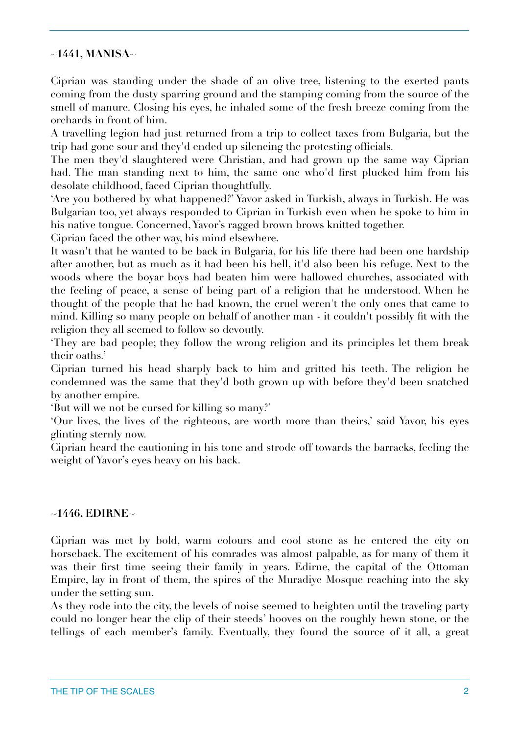## **~1441, MANISA~**

Ciprian was standing under the shade of an olive tree, listening to the exerted pants coming from the dusty sparring ground and the stamping coming from the source of the smell of manure. Closing his eyes, he inhaled some of the fresh breeze coming from the orchards in front of him.

A travelling legion had just returned from a trip to collect taxes from Bulgaria, but the trip had gone sour and they'd ended up silencing the protesting officials.

The men they'd slaughtered were Christian, and had grown up the same way Ciprian had. The man standing next to him, the same one who'd first plucked him from his desolate childhood, faced Ciprian thoughtfully.

'Are you bothered by what happened?' Yavor asked in Turkish, always in Turkish. He was Bulgarian too, yet always responded to Ciprian in Turkish even when he spoke to him in his native tongue. Concerned, Yavor's ragged brown brows knitted together.

Ciprian faced the other way, his mind elsewhere.

It wasn't that he wanted to be back in Bulgaria, for his life there had been one hardship after another, but as much as it had been his hell, it'd also been his refuge. Next to the woods where the boyar boys had beaten him were hallowed churches, associated with the feeling of peace, a sense of being part of a religion that he understood. When he thought of the people that he had known, the cruel weren't the only ones that came to mind. Killing so many people on behalf of another man - it couldn't possibly fit with the religion they all seemed to follow so devoutly.

'They are bad people; they follow the wrong religion and its principles let them break their oaths.'

Ciprian turned his head sharply back to him and gritted his teeth. The religion he condemned was the same that they'd both grown up with before they'd been snatched by another empire.

'But will we not be cursed for killing so many?'

'Our lives, the lives of the righteous, are worth more than theirs,' said Yavor, his eyes glinting sternly now.

Ciprian heard the cautioning in his tone and strode off towards the barracks, feeling the weight of Yavor's eyes heavy on his back.

## **~1446, EDIRNE~**

Ciprian was met by bold, warm colours and cool stone as he entered the city on horseback. The excitement of his comrades was almost palpable, as for many of them it was their first time seeing their family in years. Edirne, the capital of the Ottoman Empire, lay in front of them, the spires of the Muradiye Mosque reaching into the sky under the setting sun.

As they rode into the city, the levels of noise seemed to heighten until the traveling party could no longer hear the clip of their steeds' hooves on the roughly hewn stone, or the tellings of each member's family. Eventually, they found the source of it all, a great